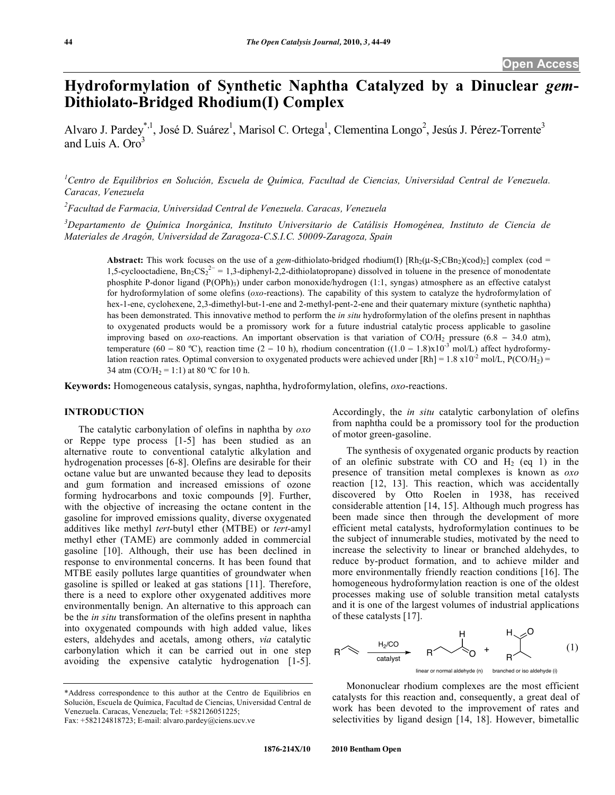# **Hydroformylation of Synthetic Naphtha Catalyzed by a Dinuclear** *gem***-Dithiolato-Bridged Rhodium(I) Complex**

Alvaro J. Pardey<sup>\*, 1</sup>, José D. Suárez<sup>1</sup>, Marisol C. Ortega<sup>1</sup>, Clementina Longo<sup>2</sup>, Jesús J. Pérez-Torrente<sup>3</sup> and Luis A.  $Oro<sup>3</sup>$ 

*1 Centro de Equilibrios en Solución, Escuela de Química, Facultad de Ciencias, Universidad Central de Venezuela. Caracas, Venezuela*

*2 Facultad de Farmacia, Universidad Central de Venezuela. Caracas, Venezuela*

*3 Departamento de Química Inorgánica, Instituto Universitario de Catálisis Homogénea, Instituto de Ciencia de Materiales de Aragón, Universidad de Zaragoza-C.S.I.C. 50009-Zaragoza, Spain*

**Abstract:** This work focuses on the use of a *gem*-dithiolato-bridged rhodium(I)  $[Rh_2(\mu-S_2CBn_2)(cod)_2]$  complex (cod = 1,5-cyclooctadiene,  $Bn_2CS_2^{2-} = 1,3$ -diphenyl-2,2-dithiolatopropane) dissolved in toluene in the presence of monodentate phosphite P-donor ligand (P(OPh)3) under carbon monoxide/hydrogen (1:1, syngas) atmosphere as an effective catalyst for hydroformylation of some olefins (*oxo*-reactions). The capability of this system to catalyze the hydroformylation of hex-1-ene, cyclohexene, 2,3-dimethyl-but-1-ene and 2-methyl-pent-2-ene and their quaternary mixture (synthetic naphtha) has been demonstrated. This innovative method to perform the *in situ* hydroformylation of the olefins present in naphthas to oxygenated products would be a promissory work for a future industrial catalytic process applicable to gasoline improving based on  $oxo$ -reactions. An important observation is that variation of CO/H<sub>2</sub> pressure (6.8 - 34.0 atm), temperature (60 – 80 °C), reaction time (2 – 10 h), rhodium concentration ((1.0 – 1.8)x10<sup>-3</sup> mol/L) affect hydroformylation reaction rates. Optimal conversion to oxygenated products were achieved under [Rh] = 1.8 x10<sup>-2</sup> mol/L, P(CO/H<sub>2</sub>) = 34 atm (CO/H<sub>2</sub> = 1:1) at 80 °C for 10 h.

**Keywords:** Homogeneous catalysis, syngas, naphtha, hydroformylation, olefins, *oxo*-reactions.

### **INTRODUCTION**

 The catalytic carbonylation of olefins in naphtha by *oxo* or Reppe type process [1-5] has been studied as an alternative route to conventional catalytic alkylation and hydrogenation processes [6-8]. Olefins are desirable for their octane value but are unwanted because they lead to deposits and gum formation and increased emissions of ozone forming hydrocarbons and toxic compounds [9]. Further, with the objective of increasing the octane content in the gasoline for improved emissions quality, diverse oxygenated additives like methyl *tert*-butyl ether (MTBE) or *tert*-amyl methyl ether (TAME) are commonly added in commercial gasoline [10]. Although, their use has been declined in response to environmental concerns. It has been found that MTBE easily pollutes large quantities of groundwater when gasoline is spilled or leaked at gas stations [11]. Therefore, there is a need to explore other oxygenated additives more environmentally benign. An alternative to this approach can be the *in situ* transformation of the olefins present in naphtha into oxygenated compounds with high added value, likes esters, aldehydes and acetals, among others, *via* catalytic carbonylation which it can be carried out in one step avoiding the expensive catalytic hydrogenation [1-5].

\*Address correspondence to this author at the Centro de Equilibrios en Solución, Escuela de Química, Facultad de Ciencias, Universidad Central de Venezuela. Caracas, Venezuela; Tel: +582126051225; Fax: +582124818723; E-mail: alvaro.pardey@ciens.ucv.ve

Accordingly, the *in situ* catalytic carbonylation of olefins from naphtha could be a promissory tool for the production of motor green-gasoline.

 The synthesis of oxygenated organic products by reaction of an olefinic substrate with CO and  $H_2$  (eq 1) in the presence of transition metal complexes is known as *oxo* reaction [12, 13]. This reaction, which was accidentally discovered by Otto Roelen in 1938, has received considerable attention [14, 15]. Although much progress has been made since then through the development of more efficient metal catalysts, hydroformylation continues to be the subject of innumerable studies, motivated by the need to increase the selectivity to linear or branched aldehydes, to reduce by-product formation, and to achieve milder and more environmentally friendly reaction conditions [16]. The homogeneous hydroformylation reaction is one of the oldest processes making use of soluble transition metal catalysts and it is one of the largest volumes of industrial applications of these catalysts [17].



 Mononuclear rhodium complexes are the most efficient catalysts for this reaction and, consequently, a great deal of work has been devoted to the improvement of rates and selectivities by ligand design [14, 18]. However, bimetallic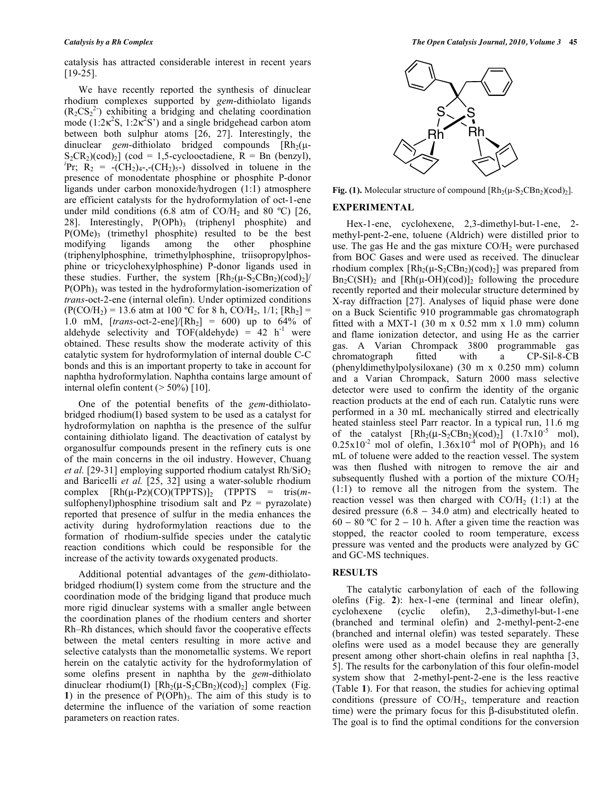catalysis has attracted considerable interest in recent years [19-25].

 We have recently reported the synthesis of dinuclear rhodium complexes supported by *gem*-dithiolato ligands  $(R_2CS_2^2)$  exhibiting a bridging and chelating coordination mode  $(1.2 \kappa^2 S, 1.2 \kappa^2 S')$  and a single bridgehead carbon atom between both sulphur atoms [26, 27]. Interestingly, the dinuclear *gem*-dithiolato bridged compounds  $\lceil Rh_2(\mu - \mathcal{L})\rceil$  $S_2CR_2$ )(cod)<sub>2</sub>] (cod = 1,5-cyclooctadiene, R = Bn (benzyl), Pr;  $R_2 = -(CH_2)_{4^-}, -(CH_2)_{5^-}$  dissolved in toluene in the presence of monodentate phosphine or phosphite P-donor ligands under carbon monoxide/hydrogen (1:1) atmosphere are efficient catalysts for the hydroformylation of oct-1-ene under mild conditions (6.8 atm of CO/H<sub>2</sub> and 80 °C) [26, 28]. Interestingly,  $P(OPh)$ <sub>3</sub> (triphenyl phosphite) and  $P(OME)_3$  (trimethyl phosphite) resulted to be the best modifying ligands among the other phosphine modifying ligands among the other (triphenylphosphine, trimethylphosphine, triisopropylphosphine or tricyclohexylphosphine) P-donor ligands used in these studies. Further, the system  $\left[\text{Rh}_2(\mu-S_2CBn_2)(\text{cod})_2\right]$  $P(OPh)$ <sub>3</sub> was tested in the hydroformylation-isomerization of *trans*-oct-2-ene (internal olefin). Under optimized conditions  $(P(CO/H_2) = 13.6$  atm at 100 °C for 8 h, CO/H<sub>2</sub>, 1/1;  $[Rh_2] =$ 1.0 mM,  $[trans-oct-2-ene]/[Rh_2] = 600$  up to  $64\%$  of aldehyde selectivity and  $TOF(\text{aldehyde}) = 42 \text{ h}^1$  were obtained. These results show the moderate activity of this catalytic system for hydroformylation of internal double C-C bonds and this is an important property to take in account for naphtha hydroformylation. Naphtha contains large amount of internal olefin content  $($  > 50%) [10].

One of the potential benefits of the *gem*-dithiolatobridged rhodium(I) based system to be used as a catalyst for hydroformylation on naphtha is the presence of the sulfur containing dithiolato ligand. The deactivation of catalyst by organosulfur compounds present in the refinery cuts is one of the main concerns in the oil industry. However, Chuang *et al.* [29-31] employing supported rhodium catalyst Rh/SiO<sub>2</sub> and Baricelli *et al.* [25, 32] using a water-soluble rhodium complex  $[Rh(\mu-Pz)(CO)(TPPTS)]_2$  (TPPTS = tris(*m*sulfophenyl)phosphine trisodium salt and  $Pz = pyrazolate$ reported that presence of sulfur in the media enhances the activity during hydroformylation reactions due to the formation of rhodium-sulfide species under the catalytic reaction conditions which could be responsible for the increase of the activity towards oxygenated products.

 Additional potential advantages of the *gem*-dithiolatobridged rhodium(I) system come from the structure and the coordination mode of the bridging ligand that produce much more rigid dinuclear systems with a smaller angle between the coordination planes of the rhodium centers and shorter Rh–Rh distances, which should favor the cooperative effects between the metal centers resulting in more active and selective catalysts than the monometallic systems. We report herein on the catalytic activity for the hydroformylation of some olefins present in naphtha by the *gem*-dithiolato dinuclear rhodium(I)  $[Rh_2(\mu-S_2CBn_2)(cod)_2]$  complex (Fig. **1**) in the presence of  $P(OPh)_{3}$ . The aim of this study is to determine the influence of the variation of some reaction parameters on reaction rates.



**Fig. (1).** Molecular structure of compound  $\left[Rh_2(\mu-S_2CBn_2)(\text{cod})_2\right]$ .

### **EXPERIMENTAL**

 Hex-1-ene, cyclohexene, 2,3-dimethyl-but-1-ene, 2 methyl-pent-2-ene, toluene (Aldrich) were distilled prior to use. The gas He and the gas mixture  $CO/H<sub>2</sub>$  were purchased from BOC Gases and were used as received. The dinuclear rhodium complex  $\left[Rh_2(\mu-S_2CBn_2)(\text{cod})_2\right]$  was prepared from  $Bn_2C(SH)_2$  and  $[Rh(\mu-OH)(cod)]_2$  following the procedure recently reported and their molecular structure determined by X-ray diffraction [27]. Analyses of liquid phase were done on a Buck Scientific 910 programmable gas chromatograph fitted with a MXT-1 (30 m x 0.52 mm x 1.0 mm) column and flame ionization detector, and using He as the carrier gas. A Varian Chrompack 3800 programmable gas chromatograph fitted with a CP-Sil-8-CB (phenyldimethylpolysiloxane) (30 m x 0.250 mm) column and a Varian Chrompack, Saturn 2000 mass selective detector were used to confirm the identity of the organic reaction products at the end of each run. Catalytic runs were performed in a 30 mL mechanically stirred and electrically heated stainless steel Parr reactor. In a typical run, 11.6 mg of the catalyst  $[Rh_2(\mu-S_2CBn_2)(cod)_2]$   $(1.7x10^{-5}$  mol),  $0.25x10^{-2}$  mol of olefin,  $1.36x10^{-4}$  mol of P(OPh)<sub>3</sub> and 16 mL of toluene were added to the reaction vessel. The system was then flushed with nitrogen to remove the air and subsequently flushed with a portion of the mixture CO/H2 (1:1) to remove all the nitrogen from the system. The reaction vessel was then charged with  $CO/H_2$  (1:1) at the desired pressure  $(6.8 - 34.0 \text{ atm})$  and electrically heated to 60 – 80 °C for 2 – 10 h. After a given time the reaction was stopped, the reactor cooled to room temperature, excess pressure was vented and the products were analyzed by GC and GC-MS techniques.

### **RESULTS**

 The catalytic carbonylation of each of the following olefins (Fig. **2**): hex-1-ene (terminal and linear olefin), cyclohexene (cyclic olefin), 2,3-dimethyl-but-1-ene (branched and terminal olefin) and 2-methyl-pent-2-ene (branched and internal olefin) was tested separately. These olefins were used as a model because they are generally present among other short-chain olefins in real naphtha [3, 5]. The results for the carbonylation of this four olefin-model system show that 2-methyl-pent-2-ene is the less reactive (Table **1**). For that reason, the studies for achieving optimal conditions (pressure of  $CO/H<sub>2</sub>$ , temperature and reaction time) were the primary focus for this  $\beta$ -disubstituted olefin. The goal is to find the optimal conditions for the conversion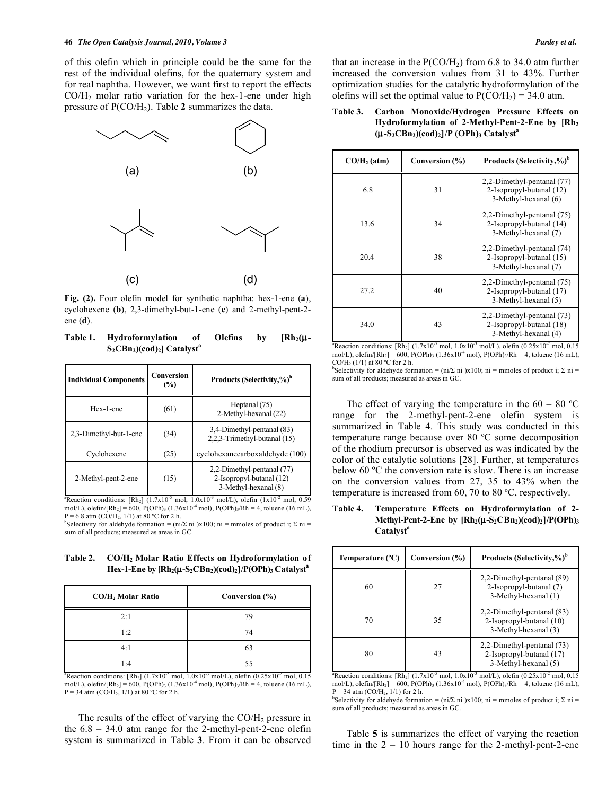of this olefin which in principle could be the same for the rest of the individual olefins, for the quaternary system and for real naphtha. However, we want first to report the effects  $CO/H<sub>2</sub>$  molar ratio variation for the hex-1-ene under high pressure of  $P(CO/H_2)$ . Table 2 summarizes the data.



**Fig. (2).** Four olefin model for synthetic naphtha: hex-1-ene (**a**), cyclohexene (**b**), 2,3-dimethyl-but-1-ene (**c**) and 2-methyl-pent-2 ene (**d**).

Table 1. Hydroformylation of Olefins by [Rh<sub>2</sub>(μ-**S<sub>2</sub>CBn<sub>2</sub>**)(cod)<sub>2</sub>] Catalyst<sup>a</sup>

| <b>Individual Components</b> | Conversion<br>$\frac{6}{2}$ | Products (Selectivity,%) <sup>b</sup>                                          |
|------------------------------|-----------------------------|--------------------------------------------------------------------------------|
| Hex-1-ene                    | (61)                        | Heptanal (75)<br>2-Methyl-hexanal (22)                                         |
| 2.3-Dimethyl-but-1-ene       | (34)                        | 3,4-Dimethyl-pentanal (83)<br>2,2,3-Trimethyl-butanal (15)                     |
| Cyclohexene                  | (25)                        | cyclohexanecarboxaldehyde (100)                                                |
| 2-Methyl-pent-2-ene          | (15)                        | 2,2-Dimethyl-pentanal (77)<br>2-Isopropyl-butanal (12)<br>3-Methyl-hexanal (8) |

<sup>a</sup>Reaction conditions: [Rh<sub>2</sub>] (1.7x10<sup>-5</sup> mol, 1.0x10<sup>-3</sup> mol/L), olefin (1x10<sup>-2</sup> mol, 0.59 mol/L), olefin/[Rh<sub>2</sub>] = 600, P(OPh)<sub>3</sub> (1.36x10<sup>-4</sup> mol), P(OPh)<sub>3</sub>/Rh = 4, toluene (16 mL),  $P = 6.8$  atm (CO/H<sub>2</sub>, 1/1) at 80 °C for 2 h.

<sup>b</sup>Selectivity for aldehyde formation = (ni/ $\Sigma$  ni )x100; ni = mmoles of product i;  $\Sigma$  ni = sum of all products; measured as areas in GC.

**Table 2. CO/H2 Molar Ratio Effects on Hydroformylation of Hex-1-Ene by [Rh2(**μ**-S2CBn2)(cod)2**]**/P(OPh)3 Catalysta** 

| CO/H <sub>2</sub> Molar Ratio | Conversion $(\% )$ |
|-------------------------------|--------------------|
| 2:1                           | 79                 |
| 1:2                           | 74                 |
| 4:1                           | 63                 |
| 1 · 4                         |                    |

<sup>a</sup>Reaction conditions: [Rh<sub>2</sub>] (1.7x10<sup>-5</sup> mol, 1.0x10<sup>-3</sup> mol/L), olefin (0.25x10<sup>-2</sup> mol, 0.15 mol/L), olefin/[Rh<sub>2</sub>] = 600, P(OPh)<sub>3</sub> (1.36x10<sup>-4</sup> mol), P(OPh)<sub>3</sub>/Rh = 4, toluene (16 mL),  $P = 34$  atm (CO/H<sub>2</sub>, 1/1) at 80 °C for 2 h.

The results of the effect of varying the  $CO/H<sub>2</sub>$  pressure in the  $6.8 - 34.0$  atm range for the 2-methyl-pent-2-ene olefin system is summarized in Table **3**. From it can be observed that an increase in the  $P(CO/H<sub>2</sub>)$  from 6.8 to 34.0 atm further increased the conversion values from 31 to 43%. Further optimization studies for the catalytic hydroformylation of the olefins will set the optimal value to  $P(CO/H_2) = 34.0$  atm.

# **Table 3. Carbon Monoxide/Hydrogen Pressure Effects on Hydroformylation of 2-Methyl-Pent-2-Ene by [Rh2 (**μ**-S2CBn2)(cod)2**]**/P (OPh)3 Catalysta**

| $CO/H2$ (atm) | Conversion (%) | Products (Selectivity,%) <sup>b</sup>                                          |
|---------------|----------------|--------------------------------------------------------------------------------|
| 6.8           | 31             | 2,2-Dimethyl-pentanal (77)<br>2-Isopropyl-butanal (12)<br>3-Methyl-hexanal (6) |
| 13.6          | 34             | 2,2-Dimethyl-pentanal (75)<br>2-Isopropyl-butanal (14)<br>3-Methyl-hexanal (7) |
| 20.4          | 38             | 2,2-Dimethyl-pentanal (74)<br>2-Isopropyl-butanal (15)<br>3-Methyl-hexanal (7) |
| 27.2          | 40             | 2,2-Dimethyl-pentanal (75)<br>2-Isopropyl-butanal (17)<br>3-Methyl-hexanal (5) |
| 34.0          | 43             | 2,2-Dimethyl-pentanal (73)<br>2-Isopropyl-butanal (18)<br>3-Methyl-hexanal (4) |

<sup>a</sup>Reaction conditions: [Rh<sub>2</sub>] (1.7x10<sup>-5</sup> mol, 1.0x10<sup>-3</sup> mol/L), olefin (0.25x10<sup>-2</sup> mol, 0.15 mol/L), olefin/[Rh<sub>2</sub>] = 600, P(OPh)<sub>3</sub> (1.36x10<sup>-4</sup> mol), P(OPh)<sub>3</sub>/Rh = 4, toluene (16 mL), CO/H<sub>2</sub> (1/1) at 80 °C for 2 h.

<sup>b</sup>Selectivity for aldehyde formation = (ni/ $\Sigma$  ni )x100; ni = mmoles of product i;  $\Sigma$  ni = sum of all products; measured as areas in GC.

The effect of varying the temperature in the  $60 - 80$  °C range for the 2-methyl-pent-2-ene olefin system is summarized in Table **4**. This study was conducted in this temperature range because over 80 ºC some decomposition of the rhodium precursor is observed as was indicated by the color of the catalytic solutions [28]. Further, at temperatures below 60 ºC the conversion rate is slow. There is an increase on the conversion values from 27, 35 to 43% when the temperature is increased from 60, 70 to 80 ºC, respectively.

### **Table 4. Temperature Effects on Hydroformylation of 2- Methyl-Pent-2-Ene by [Rh<sub>2</sub>(μ-S<sub>2</sub>CBn<sub>2</sub>)(cod)<sub>2</sub>]/P(OPh)<sub>3</sub>** Catalyst<sup>a</sup>

| Temperature $(^{\circ}C)$ | Conversion (%) | Products (Selectivity,%) <sup>b</sup>                                          |
|---------------------------|----------------|--------------------------------------------------------------------------------|
| 60                        | 27             | 2,2-Dimethyl-pentanal (89)<br>2-Isopropyl-butanal (7)<br>3-Methyl-hexanal (1)  |
| 70                        | 35             | 2,2-Dimethyl-pentanal (83)<br>2-Isopropyl-butanal (10)<br>3-Methyl-hexanal (3) |
| 80                        | 43             | 2,2-Dimethyl-pentanal (73)<br>2-Isopropyl-butanal (17)<br>3-Methyl-hexanal (5) |

<sup>a</sup>Reaction conditions: [Rh<sub>2</sub>] (1.7x10<sup>-5</sup> mol, 1.0x10<sup>-3</sup> mol/L), olefin (0.25x10<sup>-2</sup> mol, 0.15 mol/L), olefin/[Rh<sub>2</sub>] = 600, P(OPh)<sub>3</sub> (1.36x10<sup>-4</sup> mol), P(OPh)<sub>3</sub>/Rh = 4, toluene (16 mL),  $P = 34$  atm (CO/H<sub>2</sub>, 1/1) for 2 h.

<sup>b</sup>Selectivity for aldehyde formation = (ni/ $\Sigma$  ni )x100; ni = mmoles of product i;  $\Sigma$  ni = sum of all products; measured as areas in GC.

 Table **5** is summarizes the effect of varying the reaction time in the  $2 - 10$  hours range for the 2-methyl-pent-2-ene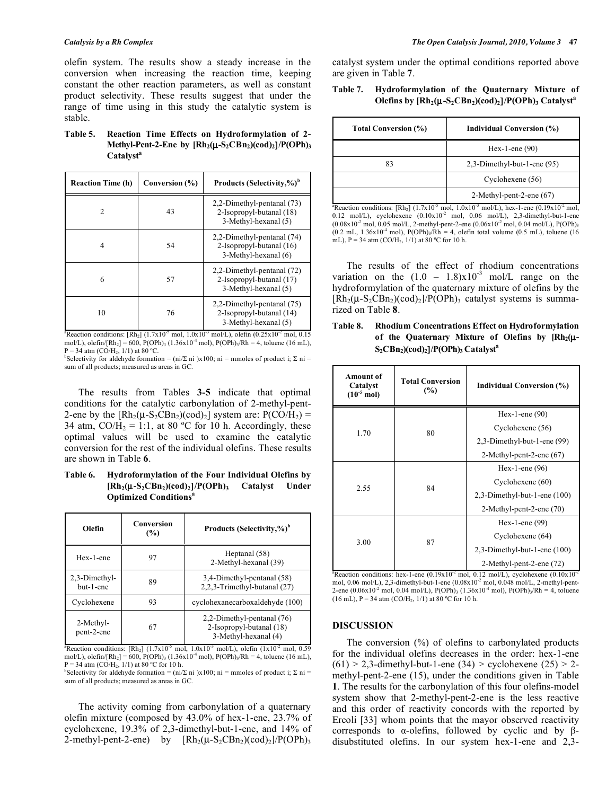olefin system. The results show a steady increase in the conversion when increasing the reaction time, keeping constant the other reaction parameters, as well as constant product selectivity. These results suggest that under the range of time using in this study the catalytic system is stable.

**Table 5. Reaction Time Effects on Hydroformylation of 2- Methyl-Pent-2-Ene by [Rh2(**μ**-S2CBn2)(cod)2**]**/P(OPh)3** Catalyst<sup>a</sup>

| <b>Reaction Time (h)</b> | Conversion (%) | Products (Selectivity,%) <sup>b</sup>                                          |
|--------------------------|----------------|--------------------------------------------------------------------------------|
| C                        | 43             | 2,2-Dimethyl-pentanal (73)<br>2-Isopropyl-butanal (18)<br>3-Methyl-hexanal (5) |
| 4                        | 54             | 2,2-Dimethyl-pentanal (74)<br>2-Isopropyl-butanal (16)<br>3-Methyl-hexanal (6) |
| 6                        | 57             | 2,2-Dimethyl-pentanal (72)<br>2-Isopropyl-butanal (17)<br>3-Methyl-hexanal (5) |
| 10                       | 76             | 2,2-Dimethyl-pentanal (75)<br>2-Isopropyl-butanal (14)<br>3-Methyl-hexanal (5) |

<sup>a</sup>Reaction conditions: [Rh<sub>2</sub>] (1.7x10<sup>-5</sup> mol, 1.0x10<sup>-3</sup> mol/L), olefin (0.25x10<sup>-2</sup> mol, 0.15 mol/L), olefin/[Rh<sub>2</sub>] = 600, P(OPh)<sub>3</sub> (1.36x10<sup>-4</sup> mol), P(OPh)<sub>3</sub>/Rh = 4, toluene (16 mL),  $P = 34$  atm (CO/H<sub>2</sub>, 1/1) at 80 °C.

Selectivity for aldehyde formation =  $(ni/\Sigma \text{ ni}) \times 100$ ; ni = mmoles of product i;  $\Sigma$  ni = sum of all products; measured as areas in GC.

 The results from Tables **3-5** indicate that optimal conditions for the catalytic carbonylation of 2-methyl-pent-2-ene by the  $\left[\text{Rh}_2(\mu - \text{S}_2\text{CBn}_2)(\text{cod})_2\right]$  system are:  $P(\text{CO/H}_2)$  = 34 atm,  $CO/H_2 = 1:1$ , at 80 °C for 10 h. Accordingly, these optimal values will be used to examine the catalytic conversion for the rest of the individual olefins. These results are shown in Table **6**.

**Table 6. Hydroformylation of the Four Individual Olefins by [Rh2(**μ**-S2CBn2)(cod)2**]**/P(OPh)3 Catalyst Under Optimized Conditionsa** 

| Olefin                     | Conversion<br>(%) | Products (Selectivity,%) <sup>b</sup>                                          |
|----------------------------|-------------------|--------------------------------------------------------------------------------|
| Hex-1-ene                  | 97                | Heptanal (58)<br>2-Methyl-hexanal (39)                                         |
| 2.3-Dimethyl-<br>but-1-ene | 89                | 3,4-Dimethyl-pentanal (58)<br>2,2,3-Trimethyl-butanal (27)                     |
| Cyclohexene                | 93                | cyclohexanecarboxaldehyde (100)                                                |
| 2-Methyl-<br>pent-2-ene    | 67                | 2,2-Dimethyl-pentanal (76)<br>2-Isopropyl-butanal (18)<br>3-Methyl-hexanal (4) |

<sup>a</sup>Reaction conditions: [Rh<sub>2</sub>]  $(1.7x10^{-5} \text{ mol}, 1.0x10^{-3} \text{ mol/L})$ , olefin  $(1x10^{-2} \text{ mol}, 0.59$ mol/L), olefin/[Rh<sub>2</sub>] = 600, P(OPh)<sub>3</sub> (1.36x10<sup>-4</sup> mol), P(OPh)<sub>3</sub>/Rh = 4, toluene (16 mL),  $P = 34$  atm (CO/H<sub>2</sub>, 1/1) at 80 °C for 10 h.

Selectivity for aldehyde formation =  $(ni/\Sigma \text{ ni}) \times 100$ ; ni = mmoles of product i;  $\Sigma$  ni = sum of all products; measured as areas in GC.

 The activity coming from carbonylation of a quaternary olefin mixture (composed by 43.0% of hex-1-ene, 23.7% of cyclohexene, 19.3% of 2,3-dimethyl-but-1-ene, and 14% of 2-methyl-pent-2-ene) by  $[Rh_2(\mu-S_2CBn_2)(cod)_2]/P(OPh)_3$ 

catalyst system under the optimal conditions reported above are given in Table **7**.

### **Table 7. Hydroformylation of the Quaternary Mixture of Olefins by [Rh<sub>2</sub>(μ-S<sub>2</sub>CBn<sub>2</sub>)(cod)<sub>2</sub>]/P(OPh)<sub>3</sub> Catalyst<sup>a</sup>**

| <b>Total Conversion (%)</b> | <b>Individual Conversion (%)</b> |
|-----------------------------|----------------------------------|
|                             | Hex-1-ene $(90)$                 |
| 83                          | $2,3$ -Dimethyl-but-1-ene (95)   |
|                             | Cyclohexene (56)                 |
|                             | 2-Methyl-pent-2-ene $(67)$       |

<sup>a</sup>Reaction conditions:  $[Rh_2]$  (1.7x10<sup>-5</sup> mol, 1.0x10<sup>-3</sup> mol/L), hex-1-ene (0.19x10<sup>-2</sup> mol, 0.12 mol/L), cyclohexene  $(0.10x10<sup>2</sup>$  mol, 0.06 mol/L), 2,3-dimethyl-but-1-ene  $(0.08x10^2 \text{ mol}, 0.05 \text{ mol/L}, 2\text{-methyl-pent-2-ene } (0.06x10^2 \text{ mol}, 0.04 \text{ mol/L}), P(\text{OPh})_3$  $(0.2 \text{ mL}, 1.36 \times 10^{-4} \text{ mol})$ , P(OPh)<sub>3</sub>/Rh = 4, olefin total volume (0.5 mL), toluene (16 mL),  $P = 34$  atm (CO/H<sub>2</sub>, 1/1) at 80 °C for 10 h.

 The results of the effect of rhodium concentrations variation on the  $(1.0 - 1.8)x10^{-3}$  mol/L range on the hydroformylation of the quaternary mixture of olefins by the  $[Rh_2(\mu-S_2CBn_2)(cod)_2]/P(OPh)_3$  catalyst systems is summarized on Table **8**.

| Table 8. | <b>Rhodium Concentrations Effect on Hydroformylation</b>                   |  |  |  |  |  |
|----------|----------------------------------------------------------------------------|--|--|--|--|--|
|          | of the Quaternary Mixture of Olefins by $\mathbb{R}h_2(\mu$                |  |  |  |  |  |
|          | $S_2CBn_2$ )(cod) <sub>2</sub> ]/P(OPh) <sub>3</sub> Catalyst <sup>a</sup> |  |  |  |  |  |
|          |                                                                            |  |  |  |  |  |

| <b>Amount of</b><br>Catalyst<br>$(10^{-5} \text{ mol})$                                                                 | <b>Total Conversion</b><br>$(\%)$ | <b>Individual Conversion (%)</b>  |
|-------------------------------------------------------------------------------------------------------------------------|-----------------------------------|-----------------------------------|
|                                                                                                                         | 80                                | Hex-1-ene $(90)$                  |
| 1.70                                                                                                                    |                                   | Cyclohexene (56)                  |
|                                                                                                                         |                                   | 2,3-Dimethyl-but-1-ene (99)       |
|                                                                                                                         |                                   | 2-Methyl-pent-2-ene (67)          |
| 2.55                                                                                                                    | 84                                | Hex-1-ene $(96)$                  |
|                                                                                                                         |                                   | Cyclohexene (60)                  |
|                                                                                                                         |                                   | $2,3$ -Dimethyl-but-1-ene $(100)$ |
|                                                                                                                         |                                   | 2-Methyl-pent-2-ene (70)          |
| 3.00                                                                                                                    | 87                                | Hex-1-ene $(99)$                  |
|                                                                                                                         |                                   | Cyclohexene (64)                  |
|                                                                                                                         |                                   | $2,3$ -Dimethyl-but-1-ene $(100)$ |
|                                                                                                                         |                                   | 2-Methyl-pent-2-ene (72)          |
| <sup>a</sup> Reaction conditions: hex-1-ene (0.19x10 <sup>-2</sup> mol, 0.12 mol/L), cyclohexene (0.10x10 <sup>-2</sup> |                                   |                                   |

mol, 0.06 mol/L), 2,3-dimethyl-but-1-ene  $(0.08 \times 10^{-2}$  mol, 0.048 mol/L, 2-methyl-pent-2-ene (0.06x10<sup>-2</sup> mol, 0.04 mol/L), P(OPh)<sub>3</sub> (1.36x10<sup>-4</sup> mol), P(OPh)<sub>3</sub>/Rh = 4, toluene (16 mL),  $P = 34$  atm (CO/H<sub>2</sub>, 1/1) at 80 °C for 10 h.

### **DISCUSSION**

 The conversion (%) of olefins to carbonylated products for the individual olefins decreases in the order: hex-1-ene  $(61) > 2,3$ -dimethyl-but-1-ene (34) > cyclohexene (25) > 2methyl-pent-2-ene (15), under the conditions given in Table **1**. The results for the carbonylation of this four olefins-model system show that 2-methyl-pent-2-ene is the less reactive and this order of reactivity concords with the reported by Ercoli [33] whom points that the mayor observed reactivity corresponds to  $\alpha$ -olefins, followed by cyclic and by  $\beta$ disubstituted olefins. In our system hex-1-ene and 2,3-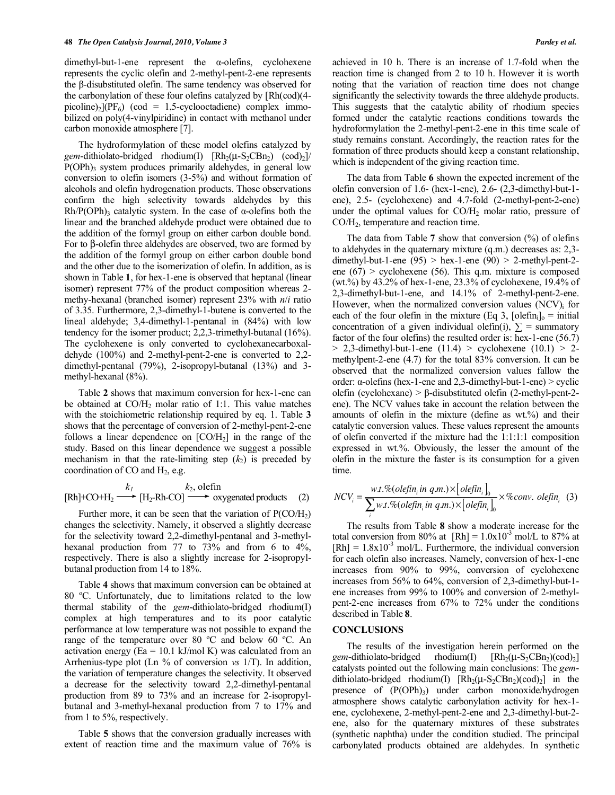$d$ imethyl-but-1-ene represent the  $\alpha$ -olefins, cyclohexene represents the cyclic olefin and 2-methyl-pent-2-ene represents the  $\beta$ -disubstituted olefin. The same tendency was observed for the carbonylation of these four olefins catalyzed by [Rh(cod)(4 picoline)<sub>2</sub>](PF<sub>6</sub>) (cod = 1,5-cyclooctadiene) complex immobilized on poly(4-vinylpiridine) in contact with methanol under carbon monoxide atmosphere [7].

 The hydroformylation of these model olefins catalyzed by *gem*-dithiolato-bridged rhodium(I)  $\text{Rh}_{2}(\mu-S_{2}CBn_{2})$  (cod)<sub>2</sub>]/  $P(OPh)$ <sub>3</sub> system produces primarily aldehydes, in general low conversion to olefin isomers (3-5%) and without formation of alcohols and olefin hydrogenation products. Those observations confirm the high selectivity towards aldehydes by this  $Rh/P(OPh)$ <sub>3</sub> catalytic system. In the case of  $\alpha$ -olefins both the linear and the branched aldehyde product were obtained due to the addition of the formyl group on either carbon double bond. For to  $\beta$ -olefin three aldehydes are observed, two are formed by the addition of the formyl group on either carbon double bond and the other due to the isomerization of olefin. In addition, as is shown in Table **1**, for hex-1-ene is observed that heptanal (linear isomer) represent 77% of the product composition whereas 2 methy-hexanal (branched isomer) represent 23% with *n*/*i* ratio of 3.35. Furthermore, 2,3-dimethyl-1-butene is converted to the lineal aldehyde; 3,4-dimethyl-1-pentanal in (84%) with low tendency for the isomer product; 2,2,3-trimethyl-butanal (16%). The cyclohexene is only converted to cyclohexanecarboxaldehyde (100%) and 2-methyl-pent-2-ene is converted to 2,2 dimethyl-pentanal (79%), 2-isopropyl-butanal (13%) and 3 methyl-hexanal (8%).

 Table **2** shows that maximum conversion for hex-1-ene can be obtained at  $CO/H<sub>2</sub>$  molar ratio of 1:1. This value matches with the stoichiometric relationship required by eq. 1. Table **3** shows that the percentage of conversion of 2-methyl-pent-2-ene follows a linear dependence on  $[CO/H<sub>2</sub>]$  in the range of the study. Based on this linear dependence we suggest a possible mechanism in that the rate-limiting step  $(k_2)$  is preceded by coordination of  $CO$  and  $H<sub>2</sub>$ , e.g.

$$
k_1
$$
  
[Rh]+CO+H<sub>2</sub>  $\longrightarrow$  [H<sub>2</sub>-Rh-CO]  $\longrightarrow$  oxygenated products (2)

Further more, it can be seen that the variation of  $P(CO/H<sub>2</sub>)$ changes the selectivity. Namely, it observed a slightly decrease for the selectivity toward 2,2-dimethyl-pentanal and 3-methylhexanal production from 77 to 73% and from 6 to 4%, respectively. There is also a slightly increase for 2-isopropylbutanal production from 14 to 18%.

 Table **4** shows that maximum conversion can be obtained at 80 ºC. Unfortunately, due to limitations related to the low thermal stability of the *gem*-dithiolato-bridged rhodium(I) complex at high temperatures and to its poor catalytic performance at low temperature was not possible to expand the range of the temperature over 80 ºC and below 60 ºC. An activation energy (Ea = 10.1 kJ/mol K) was calculated from an Arrhenius-type plot (Ln % of conversion *vs* 1/T). In addition, the variation of temperature changes the selectivity. It observed a decrease for the selectivity toward 2,2-dimethyl-pentanal production from 89 to 73% and an increase for 2-isopropylbutanal and 3-methyl-hexanal production from 7 to 17% and from 1 to 5%, respectively.

 Table **5** shows that the conversion gradually increases with extent of reaction time and the maximum value of 76% is achieved in 10 h. There is an increase of 1.7-fold when the reaction time is changed from 2 to 10 h. However it is worth noting that the variation of reaction time does not change significantly the selectivity towards the three aldehyde products. This suggests that the catalytic ability of rhodium species formed under the catalytic reactions conditions towards the hydroformylation the 2-methyl-pent-2-ene in this time scale of study remains constant. Accordingly, the reaction rates for the formation of three products should keep a constant relationship, which is independent of the giving reaction time.

 The data from Table **6** shown the expected increment of the olefin conversion of 1.6- (hex-1-ene), 2.6- (2,3-dimethyl-but-1 ene), 2.5- (cyclohexene) and 4.7-fold (2-methyl-pent-2-ene) under the optimal values for  $CO/H<sub>2</sub>$  molar ratio, pressure of CO/H<sub>2</sub>, temperature and reaction time.

 The data from Table **7** show that conversion (%) of olefins to aldehydes in the quaternary mixture (q.m.) decreases as: 2,3 dimethyl-but-1-ene  $(95)$  > hex-1-ene  $(90)$  > 2-methyl-pent-2ene  $(67)$  > cyclohexene  $(56)$ . This q.m. mixture is composed (wt.%) by 43.2% of hex-1-ene, 23.3% of cyclohexene, 19.4% of 2,3-dimethyl-but-1-ene, and 14.1% of 2-methyl-pent-2-ene. However, when the normalized conversion values  $(NCV)$  for each of the four olefin in the mixture (Eq 3, [olefin<sub>i</sub>]<sub>o</sub> = initial concentration of a given individual olefin(i),  $\Sigma$  = summatory factor of the four olefins) the resulted order is: hex-1-ene (56.7)  $> 2,3$ -dimethyl-but-1-ene (11.4)  $>$  cyclohexene (10.1)  $> 2$ methylpent-2-ene (4.7) for the total 83% conversion. It can be observed that the normalized conversion values fallow the order:  $\alpha$ -olefins (hex-1-ene and 2,3-dimethyl-but-1-ene) > cyclic olefin (cyclohexane) >  $\beta$ -disubstituted olefin (2-methyl-pent-2ene). The NCV values take in account the relation between the amounts of olefin in the mixture (define as wt.%) and their catalytic conversion values. These values represent the amounts of olefin converted if the mixture had the 1:1:1:1 composition expressed in wt.%. Obviously, the lesser the amount of the olefin in the mixture the faster is its consumption for a given time.

$$
NCV_i = \frac{w.t. \% (olefin_i in q.m.) \times [olefin_i]_0}{\sum_i w.t. \% (olefin_i in q.m.) \times [olefin_i]_0} \times \% conv. \ olefin_i \ (3)
$$

 The results from Table **8** show a moderate increase for the total conversion from 80% at  $[Rh] = 1.0x10^{-3}$  mol/L to 87% at  $[Rh] = 1.8x10^{-3}$  mol/L. Furthermore, the individual conversion for each olefin also increases. Namely, conversion of hex-1-ene increases from 90% to 99%, conversion of cyclohexene increases from 56% to 64%, conversion of 2,3-dimethyl-but-1 ene increases from 99% to 100% and conversion of 2-methylpent-2-ene increases from 67% to 72% under the conditions described in Table **8**.

# **CONCLUSIONS**

 The results of the investigation herein performed on the *gem*-dithiolato-bridged rhodium(I)  $[Rh_2(\mu-S_2CBn_2)(cod)_2]$ catalysts pointed out the following main conclusions: The *gem*dithiolato-bridged rhodium(I)  $[Rh_2(\mu-S_2CBn_2)(cod)_2]$  in the presence of  $(P(OPh)_{3})$  under carbon monoxide/hydrogen atmosphere shows catalytic carbonylation activity for hex-1 ene, cyclohexene, 2-methyl-pent-2-ene and 2,3-dimethyl-but-2 ene, also for the quaternary mixtures of these substrates (synthetic naphtha) under the condition studied. The principal carbonylated products obtained are aldehydes. In synthetic